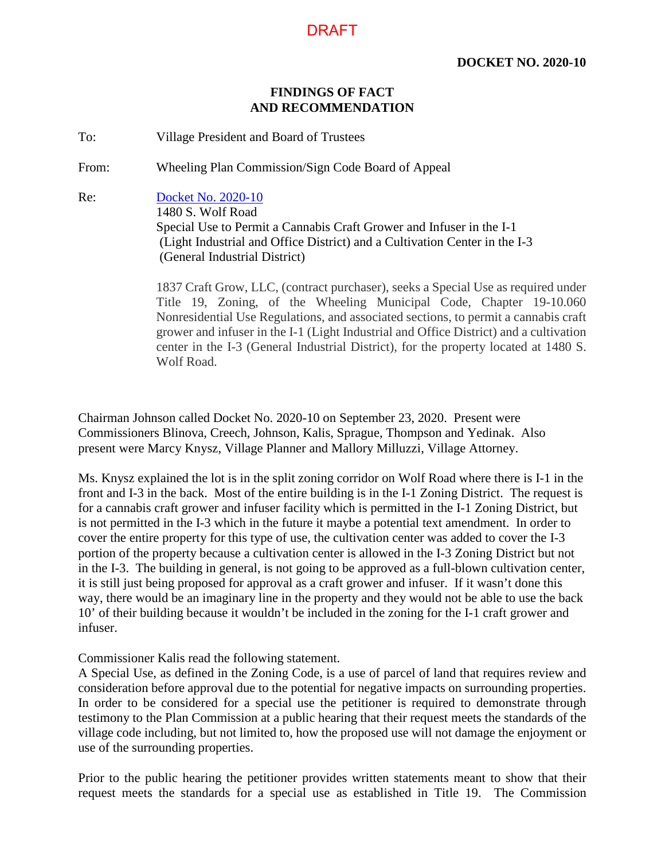## **FINDINGS OF FACT AND RECOMMENDATION**

To: Village President and Board of Trustees

From: Wheeling Plan Commission/Sign Code Board of Appeal

Re: Docket No. 2020-10 1480 S. Wolf Road Special Use to Permit a Cannabis Craft Grower and Infuser in the I-1 (Light Industrial and Office District) and a Cultivation Center in the I-3 (General Industrial District)

> 1837 Craft Grow, LLC, (contract purchaser), seeks a Special Use as required under Title 19, Zoning, of the Wheeling Municipal Code, Chapter 19-10.060 Nonresidential Use Regulations, and associated sections, to permit a cannabis craft grower and infuser in the I-1 (Light Industrial and Office District) and a cultivation center in the I-3 (General Industrial District), for the property located at 1480 S. Wolf Road.

Chairman Johnson called Docket No. 2020-10 on September 23, 2020. Present were Commissioners Blinova, Creech, Johnson, Kalis, Sprague, Thompson and Yedinak. Also present were Marcy Knysz, Village Planner and Mallory Milluzzi, Village Attorney.

Ms. Knysz explained the lot is in the split zoning corridor on Wolf Road where there is I-1 in the front and I-3 in the back. Most of the entire building is in the I-1 Zoning District. The request is for a cannabis craft grower and infuser facility which is permitted in the I-1 Zoning District, but is not permitted in the I-3 which in the future it maybe a potential text amendment. In order to cover the entire property for this type of use, the cultivation center was added to cover the I-3 portion of the property because a cultivation center is allowed in the I-3 Zoning District but not in the I-3. The building in general, is not going to be approved as a full-blown cultivation center, it is still just being proposed for approval as a craft grower and infuser. If it wasn't done this way, there would be an imaginary line in the property and they would not be able to use the back 10' of their building because it wouldn't be included in the zoning for the I-1 craft grower and infuser.

Commissioner Kalis read the following statement.

A Special Use, as defined in the Zoning Code, is a use of parcel of land that requires review and consideration before approval due to the potential for negative impacts on surrounding properties. In order to be considered for a special use the petitioner is required to demonstrate through testimony to the Plan Commission at a public hearing that their request meets the standards of the village code including, but not limited to, how the proposed use will not damage the enjoyment or use of the surrounding properties.

Prior to the public hearing the petitioner provides written statements meant to show that their request meets the standards for a special use as established in Title 19. The Commission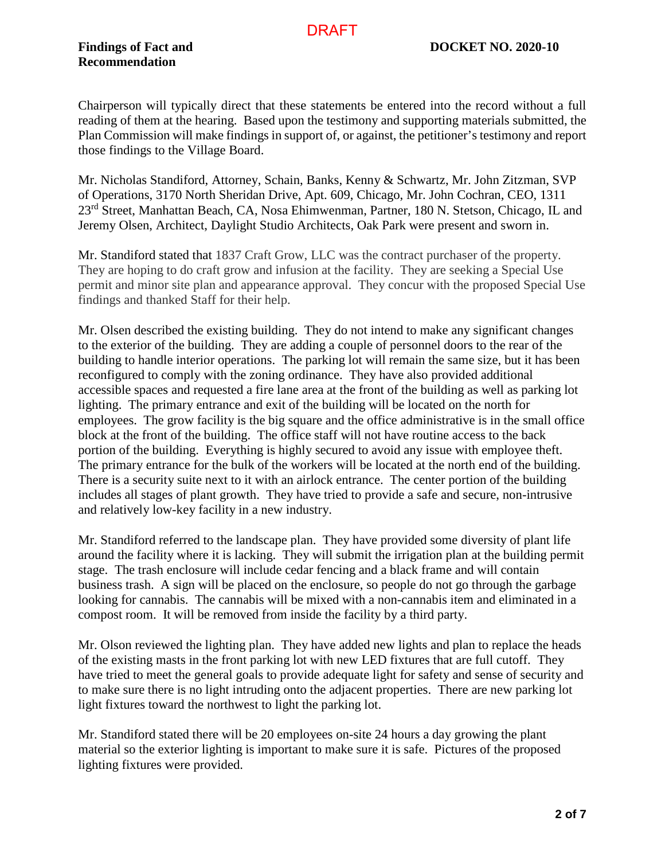**Recommendation**

Chairperson will typically direct that these statements be entered into the record without a full reading of them at the hearing. Based upon the testimony and supporting materials submitted, the Plan Commission will make findings in support of, or against, the petitioner's testimony and report those findings to the Village Board.

Mr. Nicholas Standiford, Attorney, Schain, Banks, Kenny & Schwartz, Mr. John Zitzman, SVP of Operations, 3170 North Sheridan Drive, Apt. 609, Chicago, Mr. John Cochran, CEO, 1311 23<sup>rd</sup> Street, Manhattan Beach, CA, Nosa Ehimwenman, Partner, 180 N. Stetson, Chicago, IL and Jeremy Olsen, Architect, Daylight Studio Architects, Oak Park were present and sworn in.

Mr. Standiford stated that 1837 Craft Grow, LLC was the contract purchaser of the property. They are hoping to do craft grow and infusion at the facility. They are seeking a Special Use permit and minor site plan and appearance approval. They concur with the proposed Special Use findings and thanked Staff for their help.

Mr. Olsen described the existing building. They do not intend to make any significant changes to the exterior of the building. They are adding a couple of personnel doors to the rear of the building to handle interior operations. The parking lot will remain the same size, but it has been reconfigured to comply with the zoning ordinance. They have also provided additional accessible spaces and requested a fire lane area at the front of the building as well as parking lot lighting. The primary entrance and exit of the building will be located on the north for employees. The grow facility is the big square and the office administrative is in the small office block at the front of the building. The office staff will not have routine access to the back portion of the building. Everything is highly secured to avoid any issue with employee theft. The primary entrance for the bulk of the workers will be located at the north end of the building. There is a security suite next to it with an airlock entrance. The center portion of the building includes all stages of plant growth. They have tried to provide a safe and secure, non-intrusive and relatively low-key facility in a new industry.

Mr. Standiford referred to the landscape plan. They have provided some diversity of plant life around the facility where it is lacking. They will submit the irrigation plan at the building permit stage. The trash enclosure will include cedar fencing and a black frame and will contain business trash. A sign will be placed on the enclosure, so people do not go through the garbage looking for cannabis. The cannabis will be mixed with a non-cannabis item and eliminated in a compost room. It will be removed from inside the facility by a third party.

Mr. Olson reviewed the lighting plan. They have added new lights and plan to replace the heads of the existing masts in the front parking lot with new LED fixtures that are full cutoff. They have tried to meet the general goals to provide adequate light for safety and sense of security and to make sure there is no light intruding onto the adjacent properties. There are new parking lot light fixtures toward the northwest to light the parking lot.

Mr. Standiford stated there will be 20 employees on-site 24 hours a day growing the plant material so the exterior lighting is important to make sure it is safe. Pictures of the proposed lighting fixtures were provided.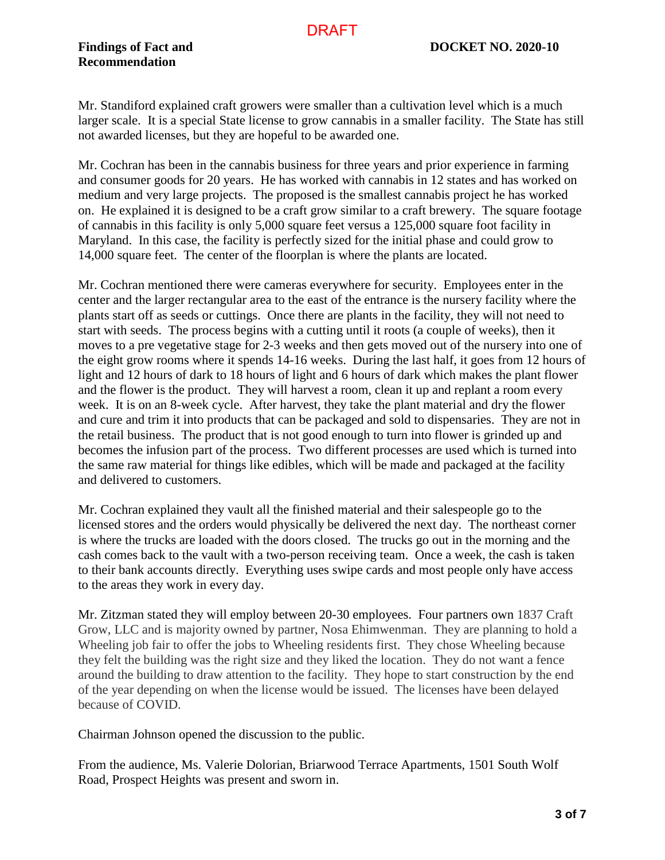Mr. Standiford explained craft growers were smaller than a cultivation level which is a much larger scale. It is a special State license to grow cannabis in a smaller facility. The State has still not awarded licenses, but they are hopeful to be awarded one.

Mr. Cochran has been in the cannabis business for three years and prior experience in farming and consumer goods for 20 years. He has worked with cannabis in 12 states and has worked on medium and very large projects. The proposed is the smallest cannabis project he has worked on. He explained it is designed to be a craft grow similar to a craft brewery. The square footage of cannabis in this facility is only 5,000 square feet versus a 125,000 square foot facility in Maryland. In this case, the facility is perfectly sized for the initial phase and could grow to 14,000 square feet. The center of the floorplan is where the plants are located.

Mr. Cochran mentioned there were cameras everywhere for security. Employees enter in the center and the larger rectangular area to the east of the entrance is the nursery facility where the plants start off as seeds or cuttings. Once there are plants in the facility, they will not need to start with seeds. The process begins with a cutting until it roots (a couple of weeks), then it moves to a pre vegetative stage for 2-3 weeks and then gets moved out of the nursery into one of the eight grow rooms where it spends 14-16 weeks. During the last half, it goes from 12 hours of light and 12 hours of dark to 18 hours of light and 6 hours of dark which makes the plant flower and the flower is the product. They will harvest a room, clean it up and replant a room every week. It is on an 8-week cycle. After harvest, they take the plant material and dry the flower and cure and trim it into products that can be packaged and sold to dispensaries. They are not in the retail business. The product that is not good enough to turn into flower is grinded up and becomes the infusion part of the process. Two different processes are used which is turned into the same raw material for things like edibles, which will be made and packaged at the facility and delivered to customers.

Mr. Cochran explained they vault all the finished material and their salespeople go to the licensed stores and the orders would physically be delivered the next day. The northeast corner is where the trucks are loaded with the doors closed. The trucks go out in the morning and the cash comes back to the vault with a two-person receiving team. Once a week, the cash is taken to their bank accounts directly. Everything uses swipe cards and most people only have access to the areas they work in every day.

Mr. Zitzman stated they will employ between 20-30 employees. Four partners own 1837 Craft Grow, LLC and is majority owned by partner, Nosa Ehimwenman. They are planning to hold a Wheeling job fair to offer the jobs to Wheeling residents first. They chose Wheeling because they felt the building was the right size and they liked the location. They do not want a fence around the building to draw attention to the facility. They hope to start construction by the end of the year depending on when the license would be issued. The licenses have been delayed because of COVID.

Chairman Johnson opened the discussion to the public.

From the audience, Ms. Valerie Dolorian, Briarwood Terrace Apartments, 1501 South Wolf Road, Prospect Heights was present and sworn in.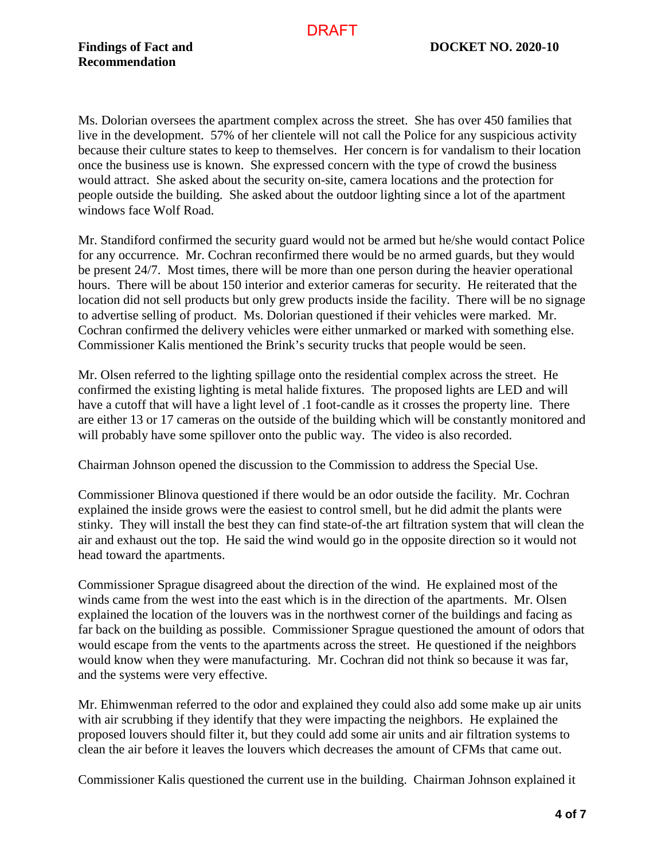Ms. Dolorian oversees the apartment complex across the street. She has over 450 families that live in the development. 57% of her clientele will not call the Police for any suspicious activity because their culture states to keep to themselves. Her concern is for vandalism to their location once the business use is known. She expressed concern with the type of crowd the business would attract. She asked about the security on-site, camera locations and the protection for people outside the building. She asked about the outdoor lighting since a lot of the apartment windows face Wolf Road.

Mr. Standiford confirmed the security guard would not be armed but he/she would contact Police for any occurrence. Mr. Cochran reconfirmed there would be no armed guards, but they would be present 24/7. Most times, there will be more than one person during the heavier operational hours. There will be about 150 interior and exterior cameras for security. He reiterated that the location did not sell products but only grew products inside the facility. There will be no signage to advertise selling of product. Ms. Dolorian questioned if their vehicles were marked. Mr. Cochran confirmed the delivery vehicles were either unmarked or marked with something else. Commissioner Kalis mentioned the Brink's security trucks that people would be seen.

Mr. Olsen referred to the lighting spillage onto the residential complex across the street. He confirmed the existing lighting is metal halide fixtures. The proposed lights are LED and will have a cutoff that will have a light level of .1 foot-candle as it crosses the property line. There are either 13 or 17 cameras on the outside of the building which will be constantly monitored and will probably have some spillover onto the public way. The video is also recorded.

Chairman Johnson opened the discussion to the Commission to address the Special Use.

Commissioner Blinova questioned if there would be an odor outside the facility. Mr. Cochran explained the inside grows were the easiest to control smell, but he did admit the plants were stinky. They will install the best they can find state-of-the art filtration system that will clean the air and exhaust out the top. He said the wind would go in the opposite direction so it would not head toward the apartments.

Commissioner Sprague disagreed about the direction of the wind. He explained most of the winds came from the west into the east which is in the direction of the apartments. Mr. Olsen explained the location of the louvers was in the northwest corner of the buildings and facing as far back on the building as possible. Commissioner Sprague questioned the amount of odors that would escape from the vents to the apartments across the street. He questioned if the neighbors would know when they were manufacturing. Mr. Cochran did not think so because it was far, and the systems were very effective.

Mr. Ehimwenman referred to the odor and explained they could also add some make up air units with air scrubbing if they identify that they were impacting the neighbors. He explained the proposed louvers should filter it, but they could add some air units and air filtration systems to clean the air before it leaves the louvers which decreases the amount of CFMs that came out.

Commissioner Kalis questioned the current use in the building. Chairman Johnson explained it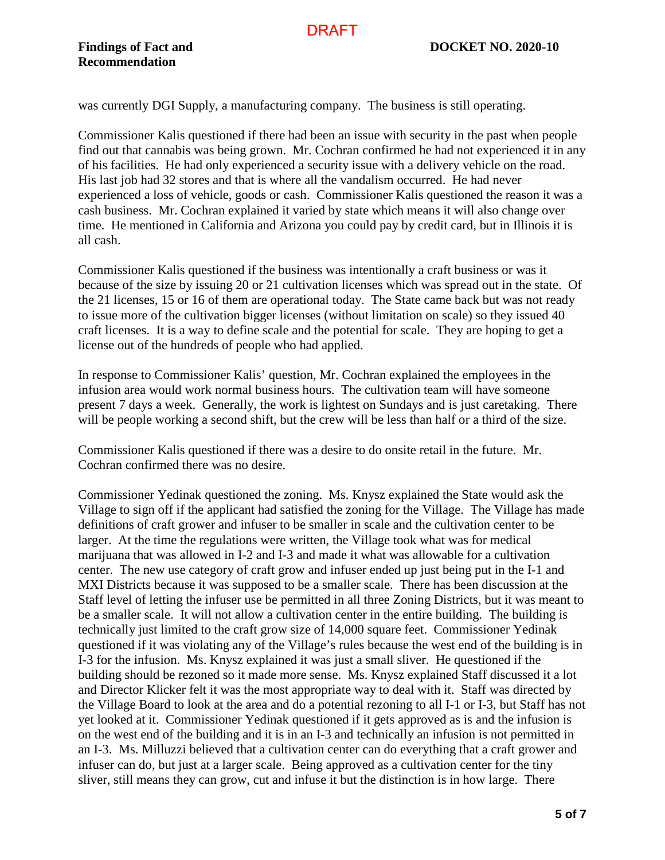was currently DGI Supply, a manufacturing company. The business is still operating.

Commissioner Kalis questioned if there had been an issue with security in the past when people find out that cannabis was being grown. Mr. Cochran confirmed he had not experienced it in any of his facilities. He had only experienced a security issue with a delivery vehicle on the road. His last job had 32 stores and that is where all the vandalism occurred. He had never experienced a loss of vehicle, goods or cash. Commissioner Kalis questioned the reason it was a cash business. Mr. Cochran explained it varied by state which means it will also change over time. He mentioned in California and Arizona you could pay by credit card, but in Illinois it is all cash.

Commissioner Kalis questioned if the business was intentionally a craft business or was it because of the size by issuing 20 or 21 cultivation licenses which was spread out in the state. Of the 21 licenses, 15 or 16 of them are operational today. The State came back but was not ready to issue more of the cultivation bigger licenses (without limitation on scale) so they issued 40 craft licenses. It is a way to define scale and the potential for scale. They are hoping to get a license out of the hundreds of people who had applied.

In response to Commissioner Kalis' question, Mr. Cochran explained the employees in the infusion area would work normal business hours. The cultivation team will have someone present 7 days a week. Generally, the work is lightest on Sundays and is just caretaking. There will be people working a second shift, but the crew will be less than half or a third of the size.

Commissioner Kalis questioned if there was a desire to do onsite retail in the future. Mr. Cochran confirmed there was no desire.

Commissioner Yedinak questioned the zoning. Ms. Knysz explained the State would ask the Village to sign off if the applicant had satisfied the zoning for the Village. The Village has made definitions of craft grower and infuser to be smaller in scale and the cultivation center to be larger. At the time the regulations were written, the Village took what was for medical marijuana that was allowed in I-2 and I-3 and made it what was allowable for a cultivation center. The new use category of craft grow and infuser ended up just being put in the I-1 and MXI Districts because it was supposed to be a smaller scale. There has been discussion at the Staff level of letting the infuser use be permitted in all three Zoning Districts, but it was meant to be a smaller scale. It will not allow a cultivation center in the entire building. The building is technically just limited to the craft grow size of 14,000 square feet. Commissioner Yedinak questioned if it was violating any of the Village's rules because the west end of the building is in I-3 for the infusion. Ms. Knysz explained it was just a small sliver. He questioned if the building should be rezoned so it made more sense. Ms. Knysz explained Staff discussed it a lot and Director Klicker felt it was the most appropriate way to deal with it. Staff was directed by the Village Board to look at the area and do a potential rezoning to all I-1 or I-3, but Staff has not yet looked at it. Commissioner Yedinak questioned if it gets approved as is and the infusion is on the west end of the building and it is in an I-3 and technically an infusion is not permitted in an I-3. Ms. Milluzzi believed that a cultivation center can do everything that a craft grower and infuser can do, but just at a larger scale. Being approved as a cultivation center for the tiny sliver, still means they can grow, cut and infuse it but the distinction is in how large. There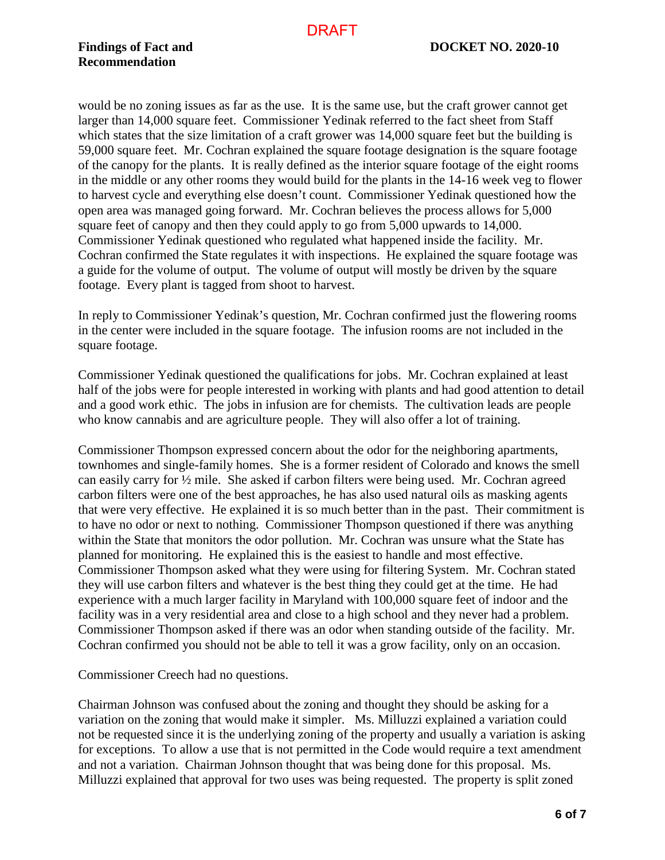would be no zoning issues as far as the use. It is the same use, but the craft grower cannot get larger than 14,000 square feet. Commissioner Yedinak referred to the fact sheet from Staff which states that the size limitation of a craft grower was 14,000 square feet but the building is 59,000 square feet. Mr. Cochran explained the square footage designation is the square footage of the canopy for the plants. It is really defined as the interior square footage of the eight rooms in the middle or any other rooms they would build for the plants in the 14-16 week veg to flower to harvest cycle and everything else doesn't count. Commissioner Yedinak questioned how the open area was managed going forward. Mr. Cochran believes the process allows for 5,000 square feet of canopy and then they could apply to go from 5,000 upwards to 14,000. Commissioner Yedinak questioned who regulated what happened inside the facility. Mr. Cochran confirmed the State regulates it with inspections. He explained the square footage was a guide for the volume of output. The volume of output will mostly be driven by the square footage. Every plant is tagged from shoot to harvest.

In reply to Commissioner Yedinak's question, Mr. Cochran confirmed just the flowering rooms in the center were included in the square footage. The infusion rooms are not included in the square footage.

Commissioner Yedinak questioned the qualifications for jobs. Mr. Cochran explained at least half of the jobs were for people interested in working with plants and had good attention to detail and a good work ethic. The jobs in infusion are for chemists. The cultivation leads are people who know cannabis and are agriculture people. They will also offer a lot of training.

Commissioner Thompson expressed concern about the odor for the neighboring apartments, townhomes and single-family homes. She is a former resident of Colorado and knows the smell can easily carry for ½ mile. She asked if carbon filters were being used. Mr. Cochran agreed carbon filters were one of the best approaches, he has also used natural oils as masking agents that were very effective. He explained it is so much better than in the past. Their commitment is to have no odor or next to nothing. Commissioner Thompson questioned if there was anything within the State that monitors the odor pollution. Mr. Cochran was unsure what the State has planned for monitoring. He explained this is the easiest to handle and most effective. Commissioner Thompson asked what they were using for filtering System. Mr. Cochran stated they will use carbon filters and whatever is the best thing they could get at the time. He had experience with a much larger facility in Maryland with 100,000 square feet of indoor and the facility was in a very residential area and close to a high school and they never had a problem. Commissioner Thompson asked if there was an odor when standing outside of the facility. Mr. Cochran confirmed you should not be able to tell it was a grow facility, only on an occasion.

Commissioner Creech had no questions.

Chairman Johnson was confused about the zoning and thought they should be asking for a variation on the zoning that would make it simpler. Ms. Milluzzi explained a variation could not be requested since it is the underlying zoning of the property and usually a variation is asking for exceptions. To allow a use that is not permitted in the Code would require a text amendment and not a variation. Chairman Johnson thought that was being done for this proposal. Ms. Milluzzi explained that approval for two uses was being requested. The property is split zoned